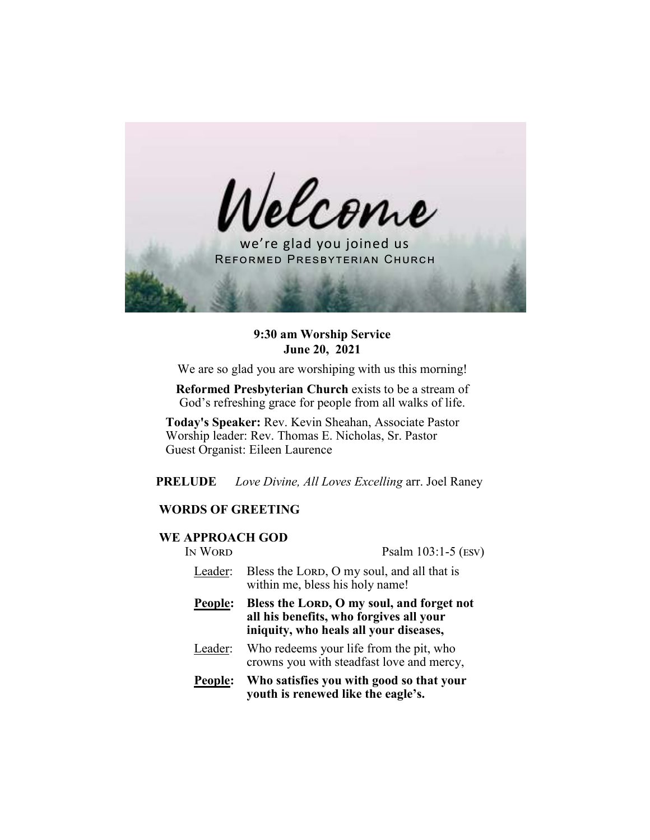

**9:30 am Worship Service June 20, 2021** 

We are so glad you are worshiping with us this morning!

**Reformed Presbyterian Church** exists to be a stream of God's refreshing grace for people from all walks of life.

**Today's Speaker:** Rev. Kevin Sheahan, Associate Pastor Worship leader: Rev. Thomas E. Nicholas, Sr. Pastor Guest Organist: Eileen Laurence

## **PRELUDE** *Love Divine, All Loves Excelling* arr. Joel Raney

## **WORDS OF GREETING**

| <b>WE APPROACH GOD</b><br>IN WORD | Psalm $103:1-5$ (ESV)                                                                                                          |  |
|-----------------------------------|--------------------------------------------------------------------------------------------------------------------------------|--|
| Leader:                           | Bless the LORD, O my soul, and all that is<br>within me, bless his holy name!                                                  |  |
| People:                           | Bless the LORD, O my soul, and forget not<br>all his benefits, who forgives all your<br>iniquity, who heals all your diseases, |  |
| Leader:                           | Who redeems your life from the pit, who<br>crowns you with steadfast love and mercy,                                           |  |
| People:                           | Who satisfies you with good so that your<br>youth is renewed like the eagle's.                                                 |  |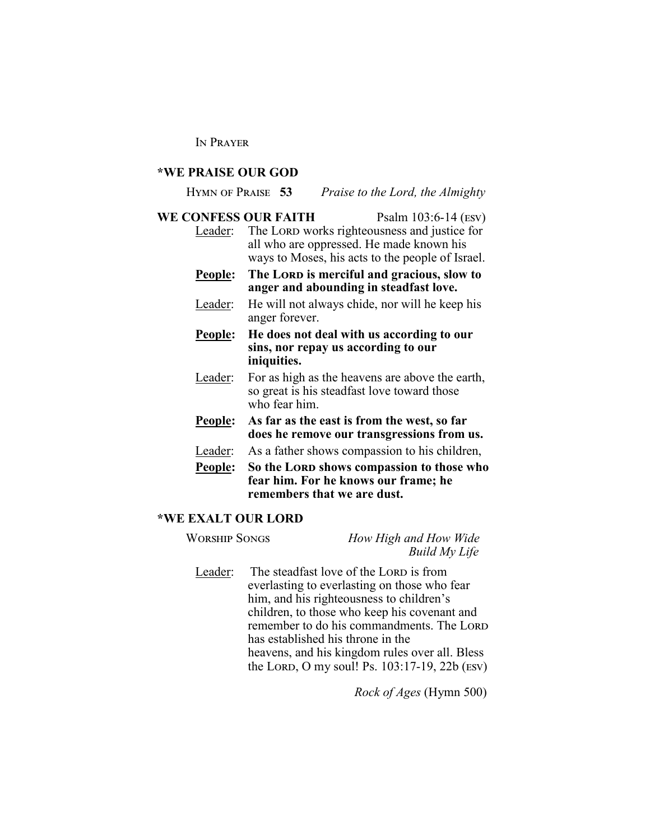IN PRAYER

# **\*WE PRAISE OUR GOD**

HYMN OF PRAISE 53 *Praise to the Lord, the Almighty* 

| <b>WE CONFESS OUR FAITH</b> |                             | Psalm 103:6-14 (ESV)                                                                                                                         |
|-----------------------------|-----------------------------|----------------------------------------------------------------------------------------------------------------------------------------------|
| Leader:                     |                             | The LORD works righteousness and justice for<br>all who are oppressed. He made known his<br>ways to Moses, his acts to the people of Israel. |
| People:                     |                             | The LORD is merciful and gracious, slow to<br>anger and abounding in steadfast love.                                                         |
| Leader:                     | anger forever.              | He will not always chide, nor will he keep his                                                                                               |
|                             | iniquities.                 | <b>People:</b> He does not deal with us according to our<br>sins, nor repay us according to our                                              |
| Leader:                     | who fear him.               | For as high as the heavens are above the earth,<br>so great is his steadfast love toward those                                               |
| People:                     |                             | As far as the east is from the west, so far<br>does he remove our transgressions from us.                                                    |
| Leader:                     |                             | As a father shows compassion to his children,                                                                                                |
| People:                     | remembers that we are dust. | So the LORD shows compassion to those who<br>fear him. For he knows our frame; he                                                            |

# **\*WE EXALT OUR LORD**

| <b>WORSHIP SONGS</b> | How High and How Wide                                                                                                                                                                                                                                                                                                  | <b>Build My Life</b> |
|----------------------|------------------------------------------------------------------------------------------------------------------------------------------------------------------------------------------------------------------------------------------------------------------------------------------------------------------------|----------------------|
| Leader:              | The steadfast love of the LORD is from<br>everlasting to everlasting on those who fear<br>him, and his righteousness to children's<br>children, to those who keep his covenant and<br>remember to do his commandments. The LORD<br>has established his throne in the<br>heavens, and his kingdom rules over all. Bless |                      |

the LORD, O my soul! Ps. 103:17-19, 22b (ESV)

*Rock of Ages* (Hymn 500)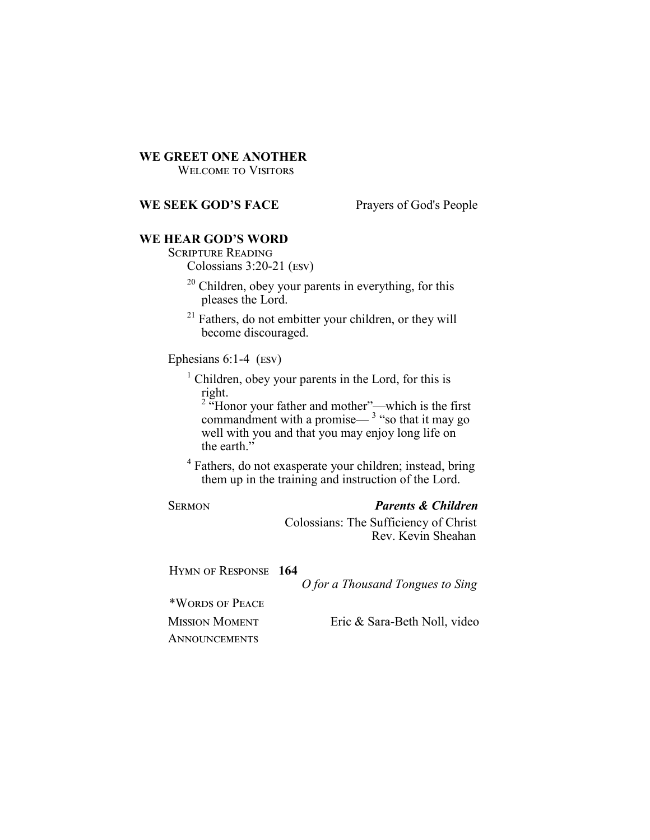### **WE GREET ONE ANOTHER**

WELCOME TO VISITORS

## WE SEEK GOD'S FACE Prayers of God's People

## **WE HEAR GOD'S WORD**

# **SCRIPTURE READING**

Colossians  $3:20-21$  (ESV)

- <sup>20</sup> Children, obey your parents in everything, for this pleases the Lord.
- <sup>21</sup> Fathers, do not embitter your children, or they will become discouraged.

### Ephesians  $6:1-4$  ( $ESV$ )

 $<sup>1</sup>$  Children, obey your parents in the Lord, for this is</sup>

right. 2 "Honor your father and mother"—which is the first commandment with a promise— $3$  "so that it may go well with you and that you may enjoy long life on the earth."

<sup>4</sup> Fathers, do not exasperate your children; instead, bring them up in the training and instruction of the Lord.

## **SERMON** *Parents & Children*

 Colossians: The Sufficiency of Christ Rev. Kevin Sheahan

HYMN OF RESPONSE 164 *O for a Thousand Tongues to Sing* \*WORDS OF PEACE

MISSION MOMENT Eric & Sara-Beth Noll, video **ANNOUNCEMENTS**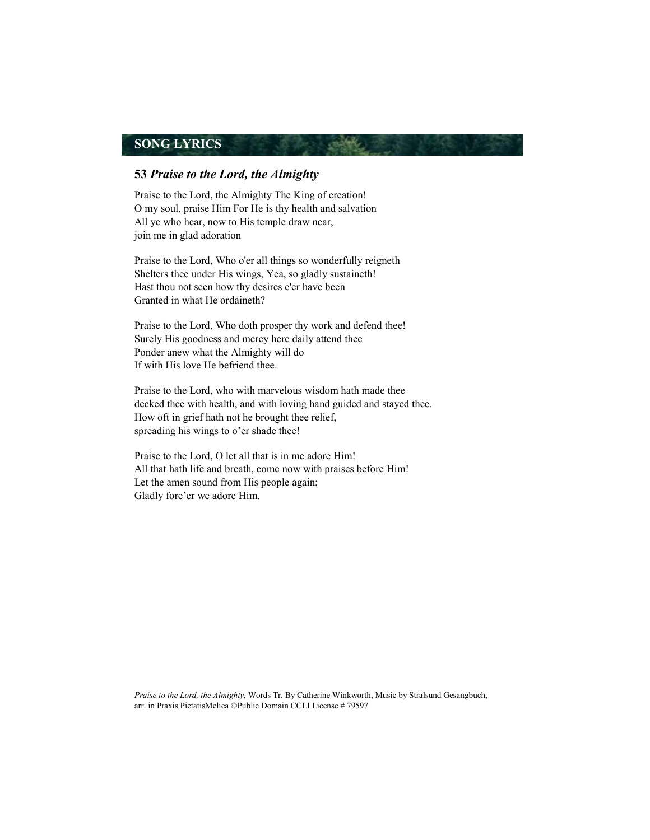## **SONG LYRICS**

## **53** *Praise to the Lord, the Almighty*

Praise to the Lord, the Almighty The King of creation! O my soul, praise Him For He is thy health and salvation All ye who hear, now to His temple draw near, join me in glad adoration

Praise to the Lord, Who o'er all things so wonderfully reigneth Shelters thee under His wings, Yea, so gladly sustaineth! Hast thou not seen how thy desires e'er have been Granted in what He ordaineth?

Praise to the Lord, Who doth prosper thy work and defend thee! Surely His goodness and mercy here daily attend thee Ponder anew what the Almighty will do If with His love He befriend thee.

Praise to the Lord, who with marvelous wisdom hath made thee decked thee with health, and with loving hand guided and stayed thee. How oft in grief hath not he brought thee relief, spreading his wings to o'er shade thee!

Praise to the Lord, O let all that is in me adore Him! All that hath life and breath, come now with praises before Him! Let the amen sound from His people again; Gladly fore'er we adore Him.

*Praise to the Lord, the Almighty*, Words Tr. By Catherine Winkworth, Music by Stralsund Gesangbuch, arr. in Praxis PietatisMelica ©Public Domain CCLI License # 79597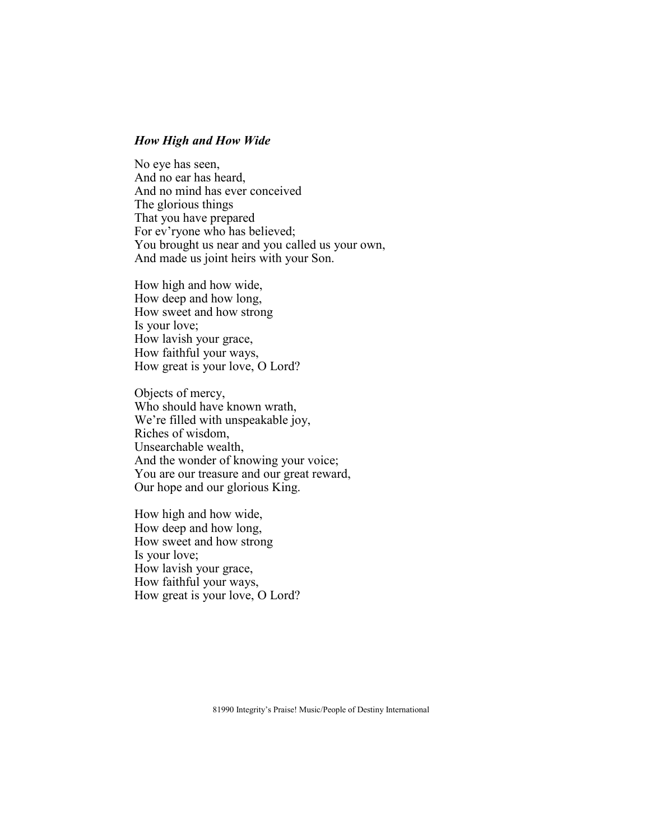### *How High and How Wide*

No eye has seen, And no ear has heard, And no mind has ever conceived The glorious things That you have prepared For ev'ryone who has believed; You brought us near and you called us your own, And made us joint heirs with your Son.

How high and how wide, How deep and how long, How sweet and how strong Is your love; How lavish your grace, How faithful your ways, How great is your love, O Lord?

Objects of mercy, Who should have known wrath, We're filled with unspeakable joy, Riches of wisdom, Unsearchable wealth, And the wonder of knowing your voice; You are our treasure and our great reward, Our hope and our glorious King.

How high and how wide, How deep and how long, How sweet and how strong Is your love; How lavish your grace, How faithful your ways, How great is your love, O Lord?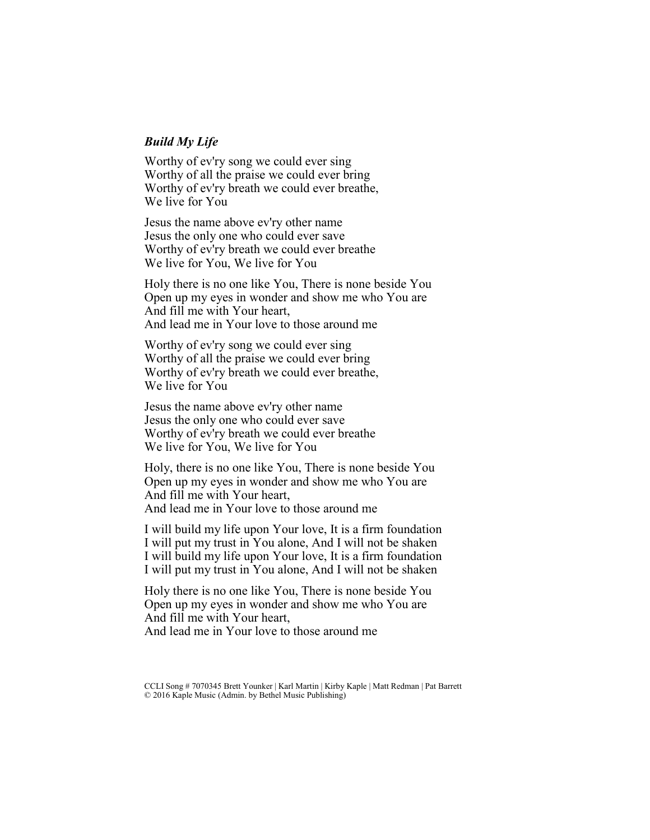## *Build My Life*

Worthy of ev'ry song we could ever sing Worthy of all the praise we could ever bring Worthy of ev'ry breath we could ever breathe, We live for You

Jesus the name above ev'ry other name Jesus the only one who could ever save Worthy of ev'ry breath we could ever breathe We live for You, We live for You

Holy there is no one like You, There is none beside You Open up my eyes in wonder and show me who You are And fill me with Your heart, And lead me in Your love to those around me

Worthy of ev'ry song we could ever sing Worthy of all the praise we could ever bring Worthy of ev'ry breath we could ever breathe, We live for You

Jesus the name above ev'ry other name Jesus the only one who could ever save Worthy of ev'ry breath we could ever breathe We live for You, We live for You

Holy, there is no one like You, There is none beside You Open up my eyes in wonder and show me who You are And fill me with Your heart, And lead me in Your love to those around me

I will build my life upon Your love, It is a firm foundation I will put my trust in You alone, And I will not be shaken I will build my life upon Your love, It is a firm foundation I will put my trust in You alone, And I will not be shaken

Holy there is no one like You, There is none beside You Open up my eyes in wonder and show me who You are And fill me with Your heart, And lead me in Your love to those around me

CCLI Song # 7070345 Brett Younker | Karl Martin | Kirby Kaple | Matt Redman | Pat Barrett © 2016 Kaple Music (Admin. by Bethel Music Publishing)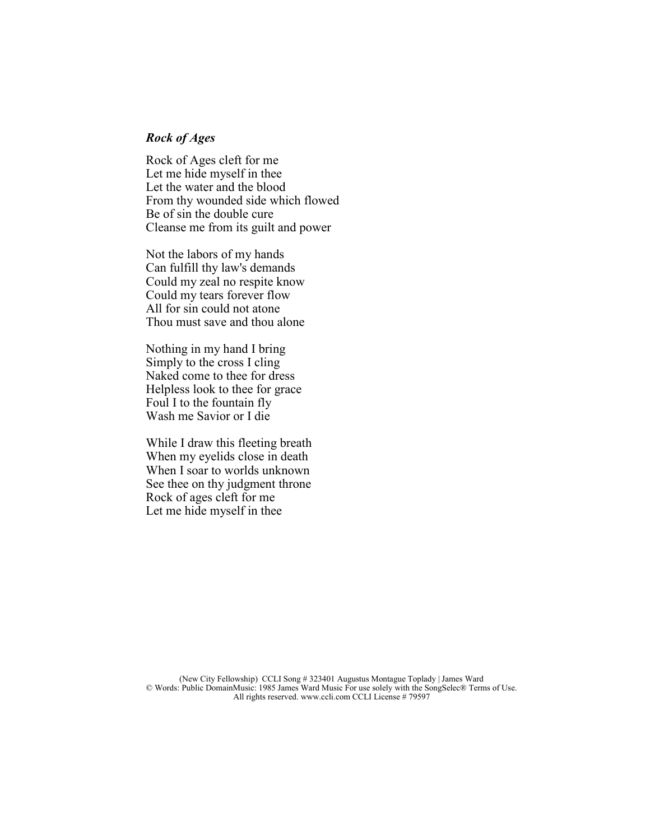## *Rock of Ages*

Rock of Ages cleft for me Let me hide myself in thee Let the water and the blood From thy wounded side which flowed Be of sin the double cure Cleanse me from its guilt and power

Not the labors of my hands Can fulfill thy law's demands Could my zeal no respite know Could my tears forever flow All for sin could not atone Thou must save and thou alone

Nothing in my hand I bring Simply to the cross I cling Naked come to thee for dress Helpless look to thee for grace Foul I to the fountain fly Wash me Savior or I die

While I draw this fleeting breath When my eyelids close in death When I soar to worlds unknown See thee on thy judgment throne Rock of ages cleft for me Let me hide myself in thee